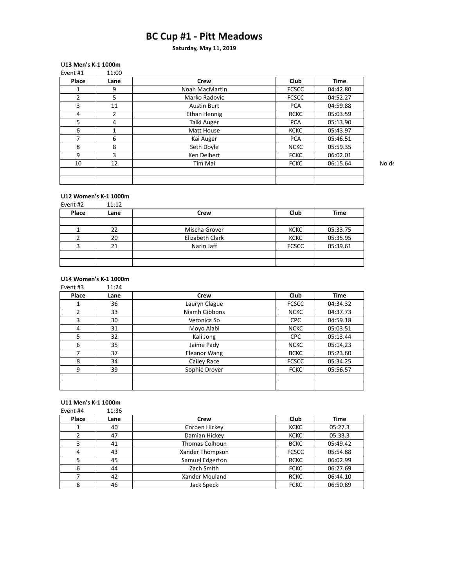## **BC Cup #1 - Pitt Meadows**

**Saturday, May 11, 2019**

### **U13 Men's K-1 1000m**

| Event #1 | 11:00 |                     |              |             |       |
|----------|-------|---------------------|--------------|-------------|-------|
| Place    | Lane  | Crew                | <b>Club</b>  | <b>Time</b> |       |
|          | 9     | Noah MacMartin      | <b>FCSCC</b> | 04:42.80    |       |
| 2        | 5     | Marko Radovic       | <b>FCSCC</b> | 04:52.27    |       |
| 3        | 11    | <b>Austin Burt</b>  | <b>PCA</b>   | 04:59.88    |       |
| 4        | ำ     | <b>Ethan Hennig</b> | <b>RCKC</b>  | 05:03.59    |       |
| 5.       | 4     | Taiki Auger         | <b>PCA</b>   | 05:13.90    |       |
| 6        |       | Matt House          | <b>KCKC</b>  | 05:43.97    |       |
|          | 6     | Kai Auger           | <b>PCA</b>   | 05:46.51    |       |
| 8        | 8     | Seth Doyle          | <b>NCKC</b>  | 05:59.35    |       |
| 9        | 3     | Ken Deibert         | <b>FCKC</b>  | 06:02.01    |       |
| 10       | 12    | Tim Mai             | <b>FCKC</b>  | 06:15.64    | No de |
|          |       |                     |              |             |       |
|          |       |                     |              |             |       |

# **U12 Women's K-1 1000m**<br>Event #2 11.12

| Event #2 | 11:12 |                 |              |          |
|----------|-------|-----------------|--------------|----------|
| Place    | Lane  | Crew            | Club         | Time     |
|          |       |                 |              |          |
|          | 22    | Mischa Grover   | <b>KCKC</b>  | 05:33.75 |
|          | 20    | Elizabeth Clark | <b>KCKC</b>  | 05:35.95 |
| ำ        | 21    | Narin Jaff      | <b>FCSCC</b> | 05:39.61 |
|          |       |                 |              |          |
|          |       |                 |              |          |

#### **U14 Women's K-1 1000m**

| Event #3 | 11:24 |               |              |             |
|----------|-------|---------------|--------------|-------------|
| Place    | Lane  | Crew          | <b>Club</b>  | <b>Time</b> |
|          | 36    | Lauryn Clague | <b>FCSCC</b> | 04:34.32    |
| 2        | 33    | Niamh Gibbons | <b>NCKC</b>  | 04:37.73    |
| 3        | 30    | Veronica So   | CPC          | 04:59.18    |
| 4        | 31    | Moyo Alabi    | <b>NCKC</b>  | 05:03.51    |
| 5        | 32    | Kali Jong     | <b>CPC</b>   | 05:13.44    |
| 6        | 35    | Jaime Pady    | <b>NCKC</b>  | 05:14.23    |
| 7        | 37    | Eleanor Wang  | <b>BCKC</b>  | 05:23.60    |
| 8        | 34    | Cailey Race   | <b>FCSCC</b> | 05:34.25    |
| 9        | 39    | Sophie Drover | <b>FCKC</b>  | 05:56.57    |
|          |       |               |              |             |
|          |       |               |              |             |

#### **U11 Men's K-1 1000m**<br>Fvent #4 11:36  $Event #4$

| LVC IIL # + | 11.JU |                       |              |             |
|-------------|-------|-----------------------|--------------|-------------|
| Place       | Lane  | Crew                  | <b>Club</b>  | <b>Time</b> |
|             | 40    | Corben Hickey         | <b>KCKC</b>  | 05:27.3     |
|             | 47    | Damian Hickey         | <b>KCKC</b>  | 05:33.3     |
| 3           | 41    | <b>Thomas Colhoun</b> | <b>BCKC</b>  | 05:49.42    |
| 4           | 43    | Xander Thompson       | <b>FCSCC</b> | 05:54.88    |
| 5           | 45    | Samuel Edgerton       | <b>RCKC</b>  | 06:02.99    |
| 6           | 44    | Zach Smith            | <b>FCKC</b>  | 06:27.69    |
|             | 42    | Xander Mouland        | <b>RCKC</b>  | 06:44.10    |
| 8           | 46    | Jack Speck            | <b>FCKC</b>  | 06:50.89    |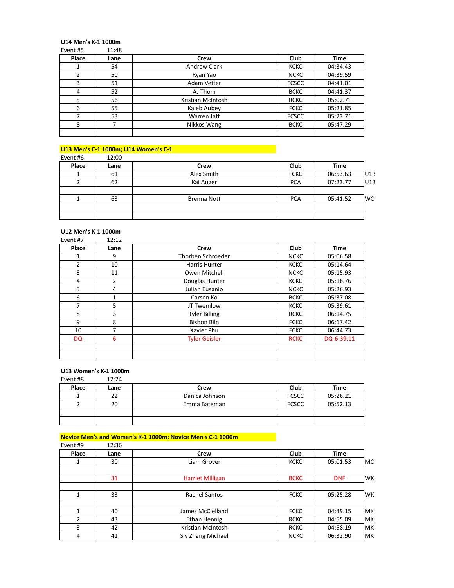# **U14 Men's K-1 1000m**<br>Fyent #5 11:48

| Event #5 | 11:48 |                     |              |             |
|----------|-------|---------------------|--------------|-------------|
| Place    | Lane  | Crew                | <b>Club</b>  | <b>Time</b> |
|          | 54    | <b>Andrew Clark</b> | <b>KCKC</b>  | 04:34.43    |
| 2        | 50    | Ryan Yao            | <b>NCKC</b>  | 04:39.59    |
| 3        | 51    | Adam Vetter         | <b>FCSCC</b> | 04:41.01    |
| 4        | 52    | AJ Thom             | <b>BCKC</b>  | 04:41.37    |
| 5        | 56    | Kristian McIntosh   | <b>RCKC</b>  | 05:02.71    |
| 6        | 55    | Kaleb Aubey         | <b>FCKC</b>  | 05:21.85    |
| 7        | 53    | Warren Jaff         | <b>FCSCC</b> | 05:23.71    |
| 8        |       | Nikkos Wang         | <b>BCKC</b>  | 05:47.29    |
|          |       |                     |              |             |

### **U13 Men's C-1 1000m; U14 Women's C-1**

| Event #6 | 12:00 |                    |             |             |      |
|----------|-------|--------------------|-------------|-------------|------|
| Place    | Lane  | Crew               | Club        | <b>Time</b> |      |
|          | 61    | Alex Smith         | <b>FCKC</b> | 06:53.63    | IU13 |
|          | 62    | Kai Auger          | <b>PCA</b>  | 07:23.77    | U13  |
|          |       |                    |             |             |      |
|          | 63    | <b>Brenna Nott</b> | <b>PCA</b>  | 05:41.52    | lwc  |
|          |       |                    |             |             |      |
|          |       |                    |             |             |      |

## **U12 Men's K-1 1000m**<br>Event #7 12:12

| Event #7  | 12:12 |                      |             |             |
|-----------|-------|----------------------|-------------|-------------|
| Place     | Lane  | Crew                 | <b>Club</b> | <b>Time</b> |
| 1         | q     | Thorben Schroeder    | <b>NCKC</b> | 05:06.58    |
| 2         | 10    | Harris Hunter        | <b>KCKC</b> | 05:14.64    |
| 3         | 11    | Owen Mitchell        | <b>NCKC</b> | 05:15.93    |
| 4         | 2     | Douglas Hunter       | <b>KCKC</b> | 05:16.76    |
| 5         | 4     | Julian Eusanio       | <b>NCKC</b> | 05:26.93    |
| 6         | 1     | Carson Ko            | <b>BCKC</b> | 05:37.08    |
| 7         | 5     | JT Twemlow           | <b>KCKC</b> | 05:39.61    |
| 8         | 3     | <b>Tyler Billing</b> | <b>RCKC</b> | 06:14.75    |
| 9         | 8     | <b>Bishon Biln</b>   | <b>FCKC</b> | 06:17.42    |
| 10        | 7     | Xavier Phu           | <b>FCKC</b> | 06:44.73    |
| <b>DQ</b> | 6     | <b>Tyler Geisler</b> | <b>RCKC</b> | DQ-6:39.11  |
|           |       |                      |             |             |
|           |       |                      |             |             |

## **U13 Women's K-1 1000m**<br>Fyent #8 12:24

| Event #8 | 12:24 |                |              |          |
|----------|-------|----------------|--------------|----------|
| Place    | Lane  | Crew           | Club         | Time     |
|          | 22    | Danica Johnson | <b>FCSCC</b> | 05:26.21 |
|          | 20    | Emma Bateman   | <b>FCSCC</b> | 05:52.13 |
|          |       |                |              |          |
|          |       |                |              |          |

#### **Novice Men's and Women's K-1 1000m; Novice Men's C-1 1000m**<br>Event #9 12:36  $E$ vent #9

| EVENT #9       | 12.30 |                         |             |             |      |
|----------------|-------|-------------------------|-------------|-------------|------|
| Place          | Lane  | Crew                    | <b>Club</b> | <b>Time</b> |      |
|                | 30    | Liam Grover             | <b>KCKC</b> | 05:01.53    | lMC. |
|                | 31    | <b>Harriet Milligan</b> | <b>BCKC</b> | <b>DNF</b>  | lwk. |
| $\mathbf{1}$   | 33    | <b>Rachel Santos</b>    | <b>FCKC</b> | 05:25.28    | lwk. |
| 1              | 40    | James McClelland        | <b>FCKC</b> | 04:49.15    | lmk. |
| $\mathfrak{p}$ | 43    | Ethan Hennig            | <b>RCKC</b> | 04:55.09    | lmk. |
| 3              | 42    | Kristian McIntosh       | <b>RCKC</b> | 04:58.19    | lmk. |
| 4              | 41    | Siy Zhang Michael       | <b>NCKC</b> | 06:32.90    | lmk. |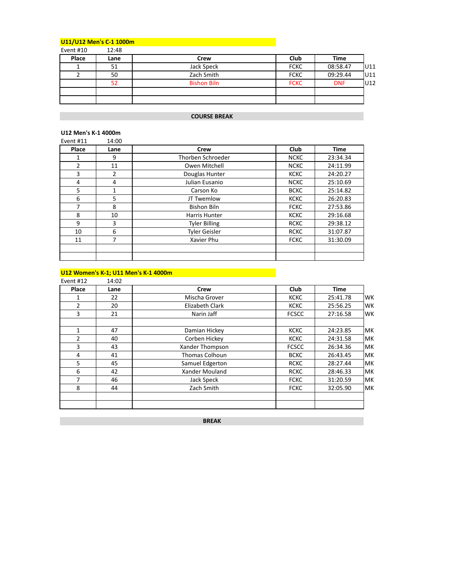### **U11/U12 Men's C-1 1000m Communication of the United States of the United States of the United States of the U**

| Event #10 | 12:48 |                    |             |            |      |
|-----------|-------|--------------------|-------------|------------|------|
| Place     | Lane  | Crew               | Club        | Time       |      |
|           | 51    | Jack Speck         | <b>FCKC</b> | 08:58.47   | IU11 |
|           | 50    | Zach Smith         | <b>FCKC</b> | 09:29.44   | IU11 |
|           | 52    | <b>Bishon Biln</b> | <b>FCKC</b> | <b>DNF</b> | U12  |
|           |       |                    |             |            |      |
|           |       |                    |             |            |      |

### **COURSE BREAK**

### **U12 Men's K-1 4000m**

| Event #11 | 14:00 |                      |             |             |
|-----------|-------|----------------------|-------------|-------------|
| Place     | Lane  | Crew                 | <b>Club</b> | <b>Time</b> |
|           | 9     | Thorben Schroeder    | <b>NCKC</b> | 23:34.34    |
| 2         | 11    | Owen Mitchell        | <b>NCKC</b> | 24:11.99    |
| 3         | 2     | Douglas Hunter       | <b>KCKC</b> | 24:20.27    |
| 4         | 4     | Julian Eusanio       | <b>NCKC</b> | 25:10.69    |
| 5         | 1     | Carson Ko            | <b>BCKC</b> | 25:14.82    |
| 6         | 5     | JT Twemlow           | <b>KCKC</b> | 26:20.83    |
| 7         | 8     | <b>Bishon Biln</b>   | <b>FCKC</b> | 27:53.86    |
| 8         | 10    | Harris Hunter        | <b>KCKC</b> | 29:16.68    |
| 9         | 3     | <b>Tyler Billing</b> | <b>RCKC</b> | 29:38.12    |
| 10        | 6     | <b>Tyler Geisler</b> | <b>RCKC</b> | 31:07.87    |
| 11        | 7     | Xavier Phu           | <b>FCKC</b> | 31:30.09    |
|           |       |                      |             |             |
|           |       |                      |             |             |

### **U12 Women's K-1; U11 Men's K-1 4000m Company of the Company of the Company of the Company of the Company of the Company of the Company of the Company of the Company of the Company of the Company of the Company of the Co**

| Event #12 | 14:02 |                       |              |             |     |
|-----------|-------|-----------------------|--------------|-------------|-----|
| Place     | Lane  | Crew                  | Club         | <b>Time</b> |     |
| 1         | 22    | Mischa Grover         | <b>KCKC</b>  | 25:41.78    | WK  |
| 2         | 20    | Elizabeth Clark       | <b>KCKC</b>  | 25:56.25    | WK  |
| 3         | 21    | Narin Jaff            | <b>FCSCC</b> | 27:16.58    | WK  |
| 1         | 47    | Damian Hickey         | <b>KCKC</b>  | 24:23.85    | MК  |
| 2         | 40    | Corben Hickey         | <b>KCKC</b>  | 24:31.58    | MК  |
| 3         | 43    | Xander Thompson       | <b>FCSCC</b> | 26:34.36    | MК  |
| 4         | 41    | <b>Thomas Colhoun</b> | <b>BCKC</b>  | 26:43.45    | lмк |
| 5         | 45    | Samuel Edgerton       | <b>RCKC</b>  | 28:27.44    | MК  |
| 6         | 42    | Xander Mouland        | <b>RCKC</b>  | 28:46.33    | MК  |
| 7         | 46    | Jack Speck            | <b>FCKC</b>  | 31:20.59    | lмк |
| 8         | 44    | Zach Smith            | <b>FCKC</b>  | 32:05.90    | lмк |
|           |       |                       |              |             |     |

**BREAK**